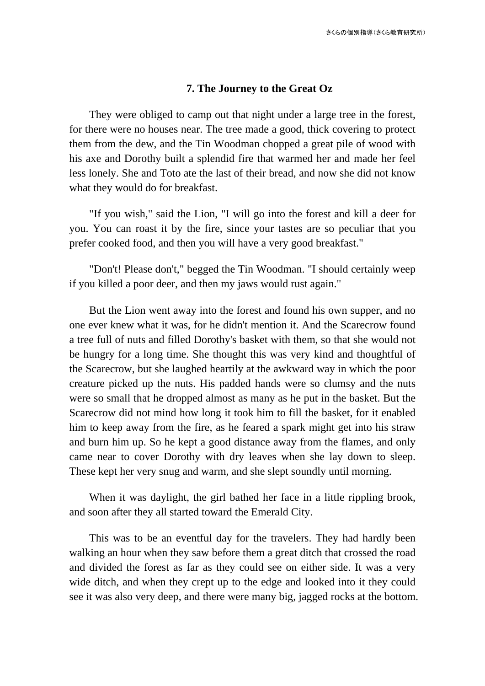## **7. The Journey to the Great Oz**

They were obliged to camp out that night under a large tree in the forest, for there were no houses near. The tree made a good, thick covering to protect them from the dew, and the Tin Woodman chopped a great pile of wood with his axe and Dorothy built a splendid fire that warmed her and made her feel less lonely. She and Toto ate the last of their bread, and now she did not know what they would do for breakfast.

"If you wish," said the Lion, "I will go into the forest and kill a deer for you. You can roast it by the fire, since your tastes are so peculiar that you prefer cooked food, and then you will have a very good breakfast."

"Don't! Please don't," begged the Tin Woodman. "I should certainly weep if you killed a poor deer, and then my jaws would rust again."

But the Lion went away into the forest and found his own supper, and no one ever knew what it was, for he didn't mention it. And the Scarecrow found a tree full of nuts and filled Dorothy's basket with them, so that she would not be hungry for a long time. She thought this was very kind and thoughtful of the Scarecrow, but she laughed heartily at the awkward way in which the poor creature picked up the nuts. His padded hands were so clumsy and the nuts were so small that he dropped almost as many as he put in the basket. But the Scarecrow did not mind how long it took him to fill the basket, for it enabled him to keep away from the fire, as he feared a spark might get into his straw and burn him up. So he kept a good distance away from the flames, and only came near to cover Dorothy with dry leaves when she lay down to sleep. These kept her very snug and warm, and she slept soundly until morning.

When it was daylight, the girl bathed her face in a little rippling brook, and soon after they all started toward the Emerald City.

This was to be an eventful day for the travelers. They had hardly been walking an hour when they saw before them a great ditch that crossed the road and divided the forest as far as they could see on either side. It was a very wide ditch, and when they crept up to the edge and looked into it they could see it was also very deep, and there were many big, jagged rocks at the bottom.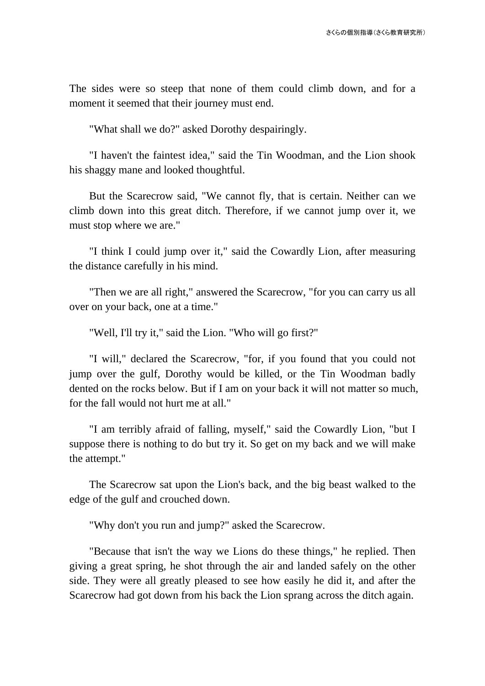The sides were so steep that none of them could climb down, and for a moment it seemed that their journey must end.

"What shall we do?" asked Dorothy despairingly.

"I haven't the faintest idea," said the Tin Woodman, and the Lion shook his shaggy mane and looked thoughtful.

But the Scarecrow said, "We cannot fly, that is certain. Neither can we climb down into this great ditch. Therefore, if we cannot jump over it, we must stop where we are."

"I think I could jump over it," said the Cowardly Lion, after measuring the distance carefully in his mind.

"Then we are all right," answered the Scarecrow, "for you can carry us all over on your back, one at a time."

"Well, I'll try it," said the Lion. "Who will go first?"

"I will," declared the Scarecrow, "for, if you found that you could not jump over the gulf, Dorothy would be killed, or the Tin Woodman badly dented on the rocks below. But if I am on your back it will not matter so much, for the fall would not hurt me at all."

"I am terribly afraid of falling, myself," said the Cowardly Lion, "but I suppose there is nothing to do but try it. So get on my back and we will make the attempt."

The Scarecrow sat upon the Lion's back, and the big beast walked to the edge of the gulf and crouched down.

"Why don't you run and jump?" asked the Scarecrow.

"Because that isn't the way we Lions do these things," he replied. Then giving a great spring, he shot through the air and landed safely on the other side. They were all greatly pleased to see how easily he did it, and after the Scarecrow had got down from his back the Lion sprang across the ditch again.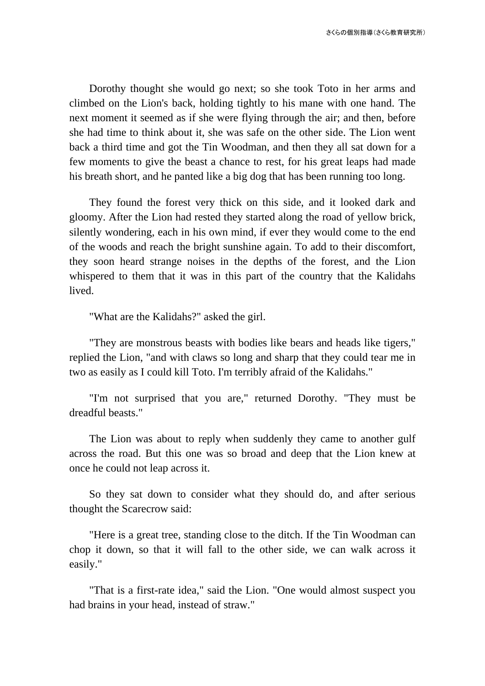Dorothy thought she would go next; so she took Toto in her arms and climbed on the Lion's back, holding tightly to his mane with one hand. The next moment it seemed as if she were flying through the air; and then, before she had time to think about it, she was safe on the other side. The Lion went back a third time and got the Tin Woodman, and then they all sat down for a few moments to give the beast a chance to rest, for his great leaps had made his breath short, and he panted like a big dog that has been running too long.

They found the forest very thick on this side, and it looked dark and gloomy. After the Lion had rested they started along the road of yellow brick, silently wondering, each in his own mind, if ever they would come to the end of the woods and reach the bright sunshine again. To add to their discomfort, they soon heard strange noises in the depths of the forest, and the Lion whispered to them that it was in this part of the country that the Kalidahs lived.

"What are the Kalidahs?" asked the girl.

"They are monstrous beasts with bodies like bears and heads like tigers," replied the Lion, "and with claws so long and sharp that they could tear me in two as easily as I could kill Toto. I'm terribly afraid of the Kalidahs."

"I'm not surprised that you are," returned Dorothy. "They must be dreadful beasts."

The Lion was about to reply when suddenly they came to another gulf across the road. But this one was so broad and deep that the Lion knew at once he could not leap across it.

So they sat down to consider what they should do, and after serious thought the Scarecrow said:

"Here is a great tree, standing close to the ditch. If the Tin Woodman can chop it down, so that it will fall to the other side, we can walk across it easily."

"That is a first-rate idea," said the Lion. "One would almost suspect you had brains in your head, instead of straw."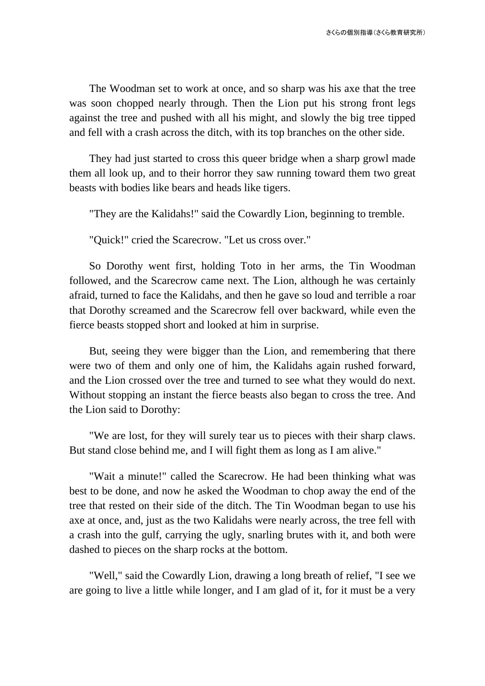The Woodman set to work at once, and so sharp was his axe that the tree was soon chopped nearly through. Then the Lion put his strong front legs against the tree and pushed with all his might, and slowly the big tree tipped and fell with a crash across the ditch, with its top branches on the other side.

They had just started to cross this queer bridge when a sharp growl made them all look up, and to their horror they saw running toward them two great beasts with bodies like bears and heads like tigers.

"They are the Kalidahs!" said the Cowardly Lion, beginning to tremble.

"Quick!" cried the Scarecrow. "Let us cross over."

So Dorothy went first, holding Toto in her arms, the Tin Woodman followed, and the Scarecrow came next. The Lion, although he was certainly afraid, turned to face the Kalidahs, and then he gave so loud and terrible a roar that Dorothy screamed and the Scarecrow fell over backward, while even the fierce beasts stopped short and looked at him in surprise.

But, seeing they were bigger than the Lion, and remembering that there were two of them and only one of him, the Kalidahs again rushed forward, and the Lion crossed over the tree and turned to see what they would do next. Without stopping an instant the fierce beasts also began to cross the tree. And the Lion said to Dorothy:

"We are lost, for they will surely tear us to pieces with their sharp claws. But stand close behind me, and I will fight them as long as I am alive."

"Wait a minute!" called the Scarecrow. He had been thinking what was best to be done, and now he asked the Woodman to chop away the end of the tree that rested on their side of the ditch. The Tin Woodman began to use his axe at once, and, just as the two Kalidahs were nearly across, the tree fell with a crash into the gulf, carrying the ugly, snarling brutes with it, and both were dashed to pieces on the sharp rocks at the bottom.

"Well," said the Cowardly Lion, drawing a long breath of relief, "I see we are going to live a little while longer, and I am glad of it, for it must be a very